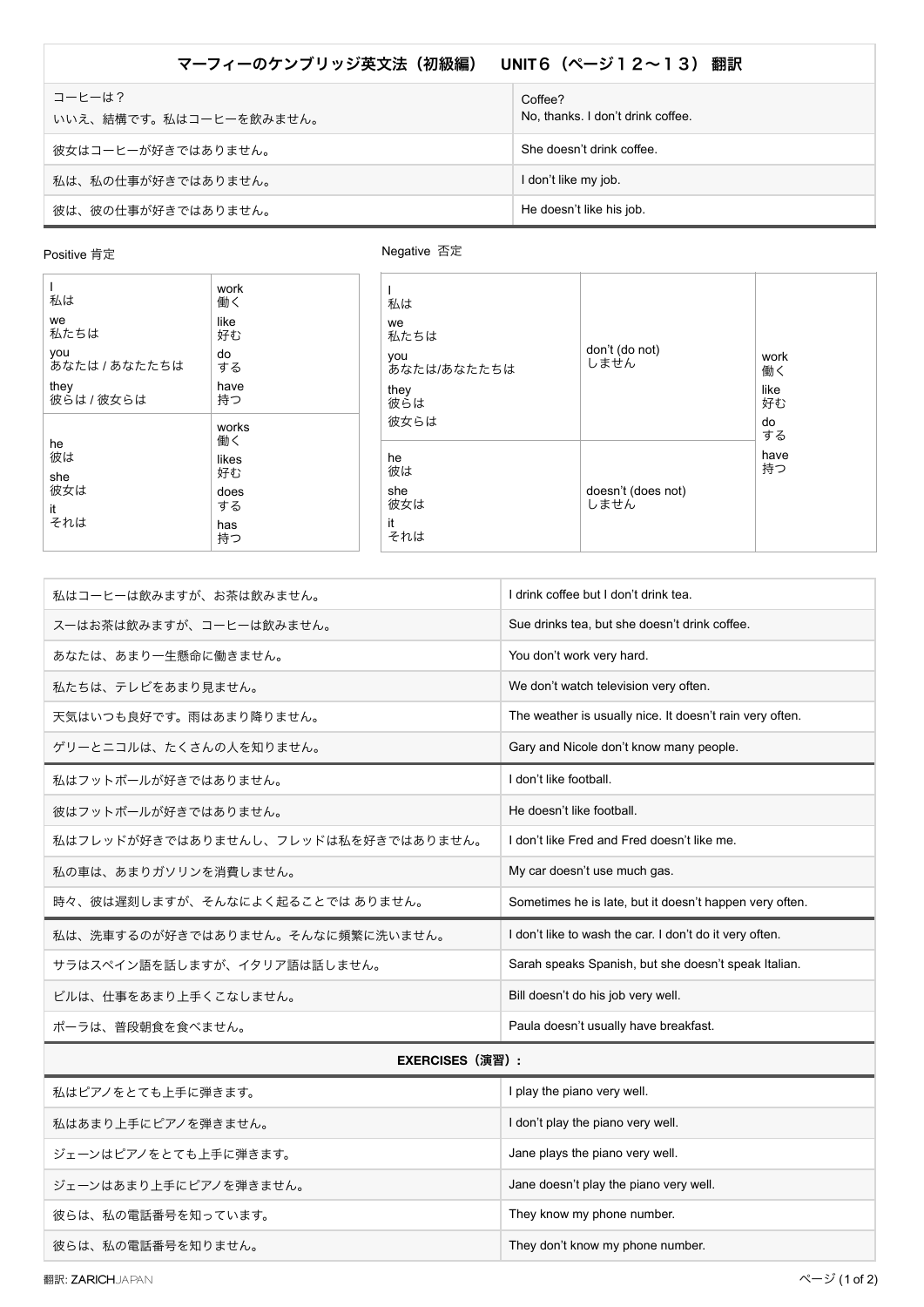## マーフィーのケンブリッジ英文法 (初級編) UNIT**6 (ページ12~13)** 翻訳

| コーヒーは?<br>いいえ、結構です。私はコーヒーを飲みません。 | Coffee?<br>No, thanks. I don't drink coffee. |
|----------------------------------|----------------------------------------------|
| 彼女はコーヒーが好きではありません。               | She doesn't drink coffee.                    |
| 私は、私の仕事が好きではありません。               | I don't like my job.                         |
| 彼は、彼の仕事が好きではありません。               | He doesn't like his job.                     |

Positive 肯定

## **Negative 否定**

| 私は                   | work<br>働く  | 私は                 |                            |            |
|----------------------|-------------|--------------------|----------------------------|------------|
| we<br>私たちは           | like<br>好む  | we<br>私たちは         |                            |            |
| you<br>あなたは / あなたたちは | do<br>する    | you<br>あなたは/あなたたちは | don't (do not)<br>しません     | work<br>働く |
| they<br>彼らは / 彼女らは   | have<br>持つ  | they<br>彼らは        |                            | like<br>好む |
|                      | works<br>働く | 彼女らは               |                            | do<br>する   |
| he<br>彼は<br>she      | likes<br>好む | he<br>彼は           |                            | have<br>持つ |
| 彼女は<br>it            | does<br>する  | she<br>彼女は         | doesn't (does not)<br>しません |            |
| それは                  | has<br>持つ   | it<br>それは          |                            |            |
|                      |             |                    |                            |            |

| 私はコーヒーは飲みますが、お茶は飲みません。              | I drink coffee but I don't drink tea.                    |  |
|-------------------------------------|----------------------------------------------------------|--|
| スーはお茶は飲みますが、コーヒーは飲みません。             | Sue drinks tea, but she doesn't drink coffee.            |  |
| あなたは、あまり一生懸命に働きません。                 | You don't work very hard.                                |  |
| 私たちは、テレビをあまり見ません。                   | We don't watch television very often.                    |  |
| 天気はいつも良好です。雨はあまり降りません。              | The weather is usually nice. It doesn't rain very often. |  |
| ゲリーとニコルは、たくさんの人を知りません。              | Gary and Nicole don't know many people.                  |  |
| 私はフットボールが好きではありません。                 | I don't like football.                                   |  |
| 彼はフットボールが好きではありません。                 | He doesn't like football.                                |  |
| 私はフレッドが好きではありませんし、フレッドは私を好きではありません。 | I don't like Fred and Fred doesn't like me.              |  |
| 私の車は、あまりガソリンを消費しません。                | My car doesn't use much gas.                             |  |
| 時々、彼は遅刻しますが、そんなによく起ることでは ありません。     | Sometimes he is late, but it doesn't happen very often.  |  |
| 私は、洗車するのが好きではありません。そんなに頻繁に洗いません。    | I don't like to wash the car. I don't do it very often.  |  |
| サラはスペイン語を話しますが、イタリア語は話しません。         | Sarah speaks Spanish, but she doesn't speak Italian.     |  |
| ビルは、仕事をあまり上手くこなしません。                | Bill doesn't do his job very well.                       |  |
| ポーラは、普段朝食を食べません。                    | Paula doesn't usually have breakfast.                    |  |
| <b>EXERCISES(演習):</b>               |                                                          |  |
|                                     |                                                          |  |

## 私はピアノをとても上手に弾きます。 ファイン ファイン こうしょう こうしょく I play the piano very well. 私はあまり上手にピアノを弾きません。<br>
| I don't play the piano very well. ジェーンはピアノをとても上手に弾きます。 インディング dane plays the piano very well. ジェーンはあまり上手にピアノを弾きません。 ファイン Same doesn't play the piano very well. 彼らは、私の電話番号を知っています。 インタン インタン しゅうしゃ アンチン They know my phone number. 彼らは、私の電話番号を知りません。 インタン インタン インタン They don't know my phone number.